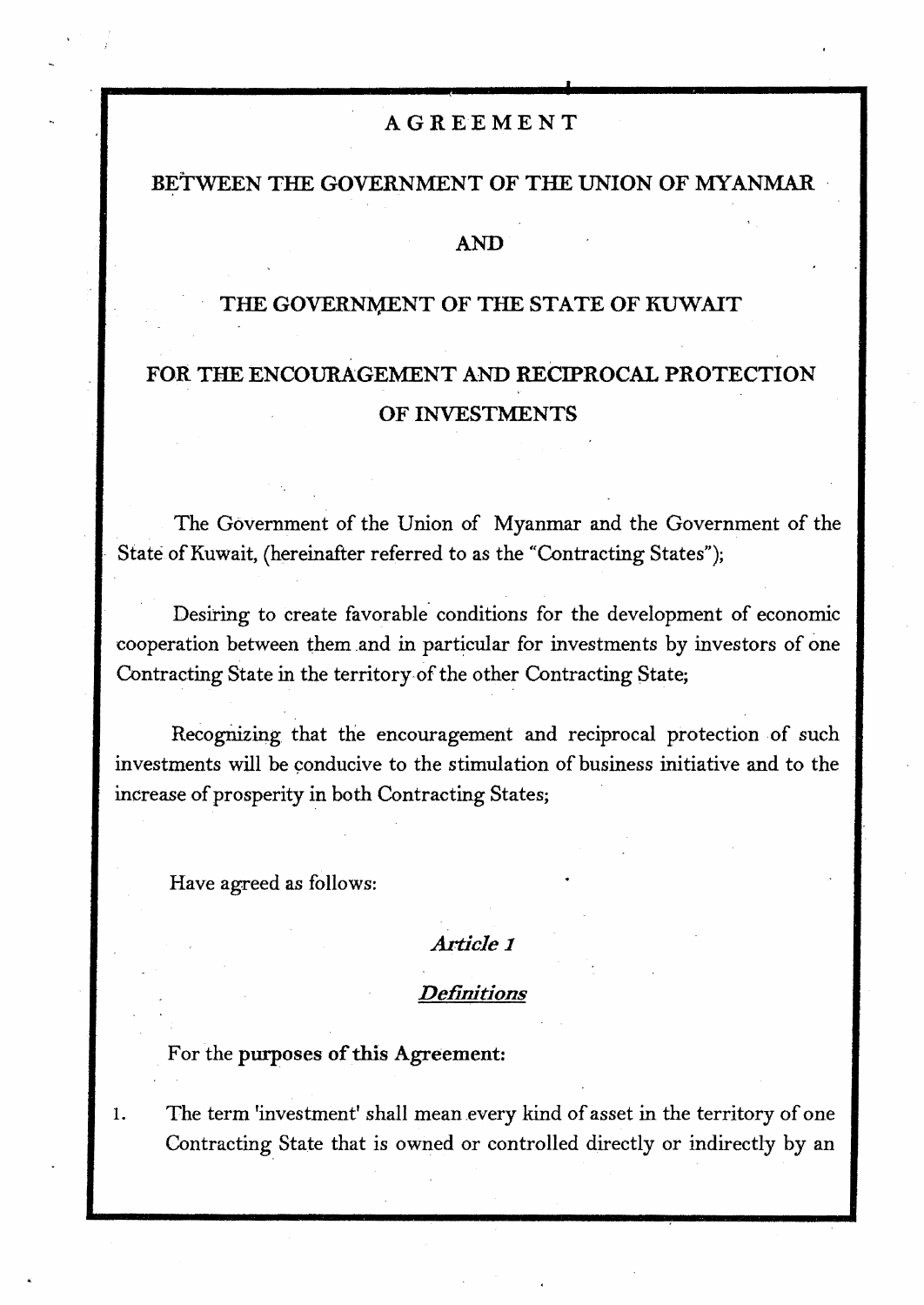#### AGREEMENT

#### BETWEEN THE GOVERNMENT OF THE UNION OF MYANMAR

#### **AND**

## THE GOVERNMENT OF THE STATE OF KUWAIT

# **FOR THE ENCOURAGEMENT AND RECIPROCAL PROTECTION OF INVESTMENTS**

The Government of the Union of Myanmar and the Government of the State of Kuwait, (hereinafter referred to as the "Contracting States");

Desiring to create favorable conditions for the development of economic cooperation between them and in particular for investments by investors of one Contracting State in the territory-of the other Contracting State;

Recognizing that the encouragement and reciprocal protection of such investments will be conducive to the stimulation of business initiative and to the increase of prosperity in both Contracting States;

Have agreed as follows:

## *Article 1*

#### *Definitions*

#### For the purposes of this Agreement:

1. The term 'investment' shall mean every kind of asset in the territory of one Contracting State that is owned or controlled directly or indirectly by an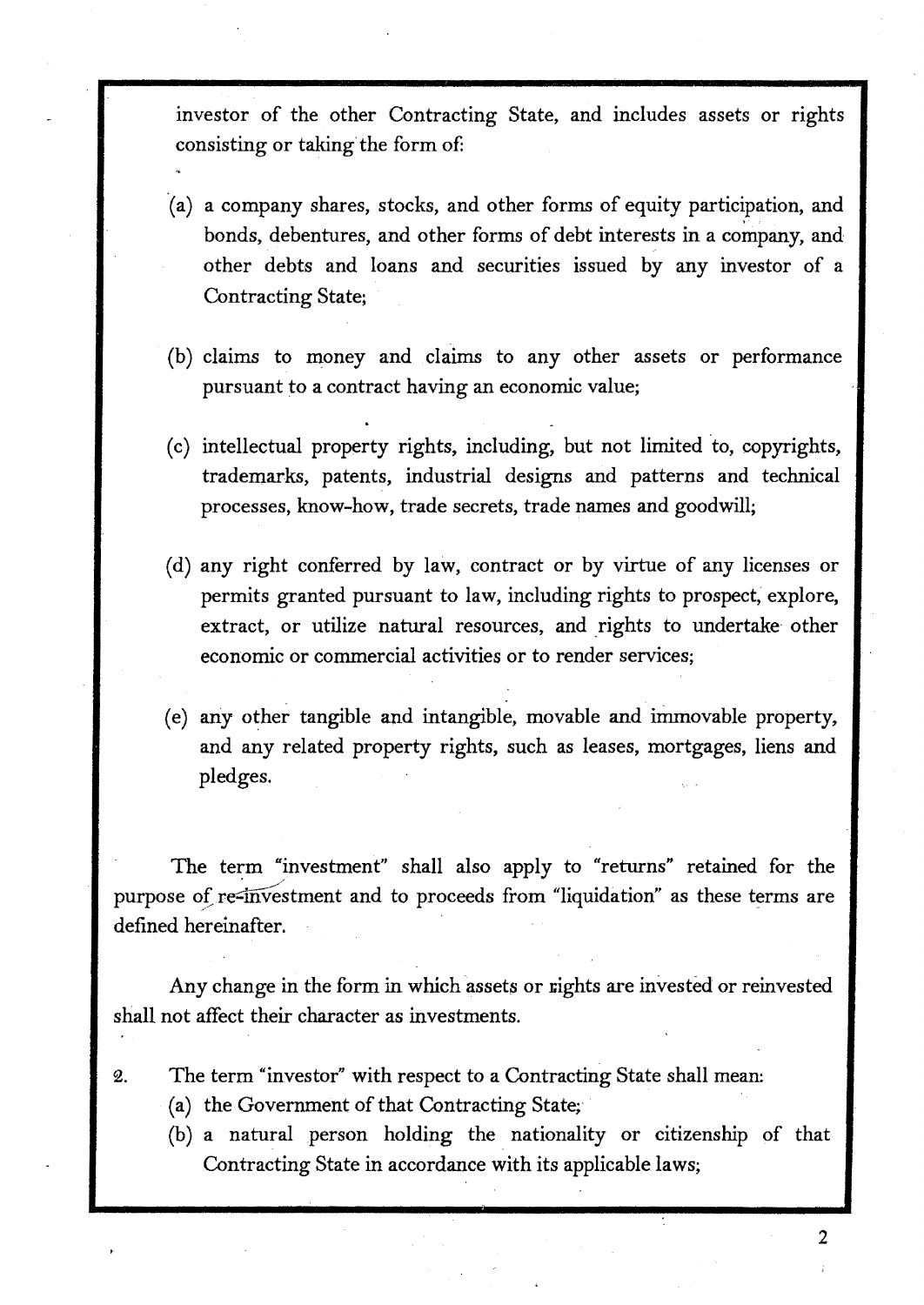investor of the other Contracting State, and includes assets or rights consisting or taking the form of:

- ·(a) a company shares, stocks, and other forms of equity participation, and bonds, debentures, and other forms of debt interests in a company, and other debts and loans and securities issued by any investor of a Contracting State;
- (b) claims to money and claims to any other assets or performance pursuant to a contract having an economic value;
- (c) intellectual property rights, including, but not limited to, copyrights, trademarks, patents, industrial designs and patterns and technical processes, know-how, trade secrets, trade names and goodwill;
- (d) any right conferred by law, contract or by virtue of any licenses or permits granted pursuant to law, including rights to prospect, explore, extract, or utilize natural resources, and rights to undertake other economic or commercial activities or to render services;
- ( e) any other tangible and intangible, movable and immovable property, and any related property rights, such as leases, mortgages, liens and pledges.

The term "investment'' shall also apply to "returns" retained for the purpose of re-investment and to proceeds from "liquidation" as these terms are defined hereinafter.

Any change in the form in which assets or rights are invested or reinvested shall not affect their character as investments.

- 2. The term "investor" with respect to a Contracting State shall mean:
	- (a) the Government of that Contracting State;·
	- (b) a natural person holding the nationality or citizenship of that Contracting State in accordance with its applicable laws;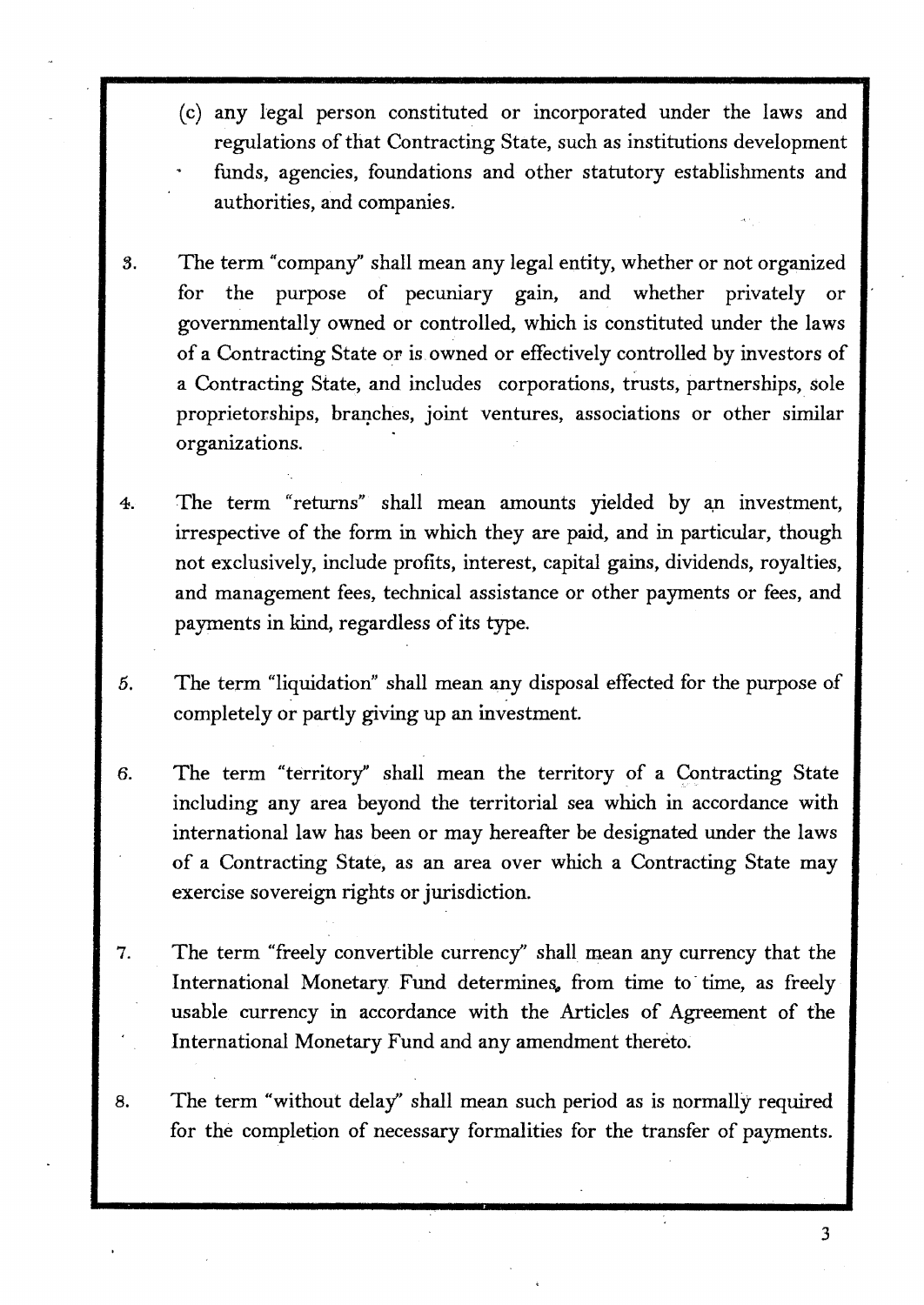- (c) any legal person constituted or incorporated under the laws and regulations of that Contracting State, such as institutions development funds, agencies, foundations and other statutory establishments and authorities, and companies.
- 3. The term "company" shall mean any legal entity, whether or not organized for the purpose of pecuniary gain, and whether privately or governmentally owned or controlled, which is constituted under the laws of a Contracting State or is owned or effectively controlled by investors of a Contracting State, and includes corporations, trusts, partnerships, sole proprietorships, branches, joint ventures, associations or other similar organizations.
- 4. The term "returns" shall mean amounts yielded by an investment, irrespective of the form in which they are paid, and in particular, though not exclusively, include profits, interest, capital gains, dividends, royalties, and management fees, technical assistance or other payments or fees, and payments in kind, regardless of its type.
- 5. The term "liquidation" shall mean any disposal effected for the purpose of completely or partly giving up an investment.
- 6. The term "territory" shall mean the territory of a Contracting State including any area beyond the territorial sea which in accordance with international law has been or may hereafter be designated under the laws of a Contracting State, as an area over which a Contracting State may exercise sovereign rights or jurisdiction.
- 7. The term "freely convertible currency'' shall mean any currency that the International Monetary Fund determines, from time to time, as freely usable currency in accordance with the Articles of Agreement of the International Monetary Fund and any amendment thereto.
- 8. The term "without delay'' shall mean such period as is normally required for the completion of necessary formalities for the transfer of payments.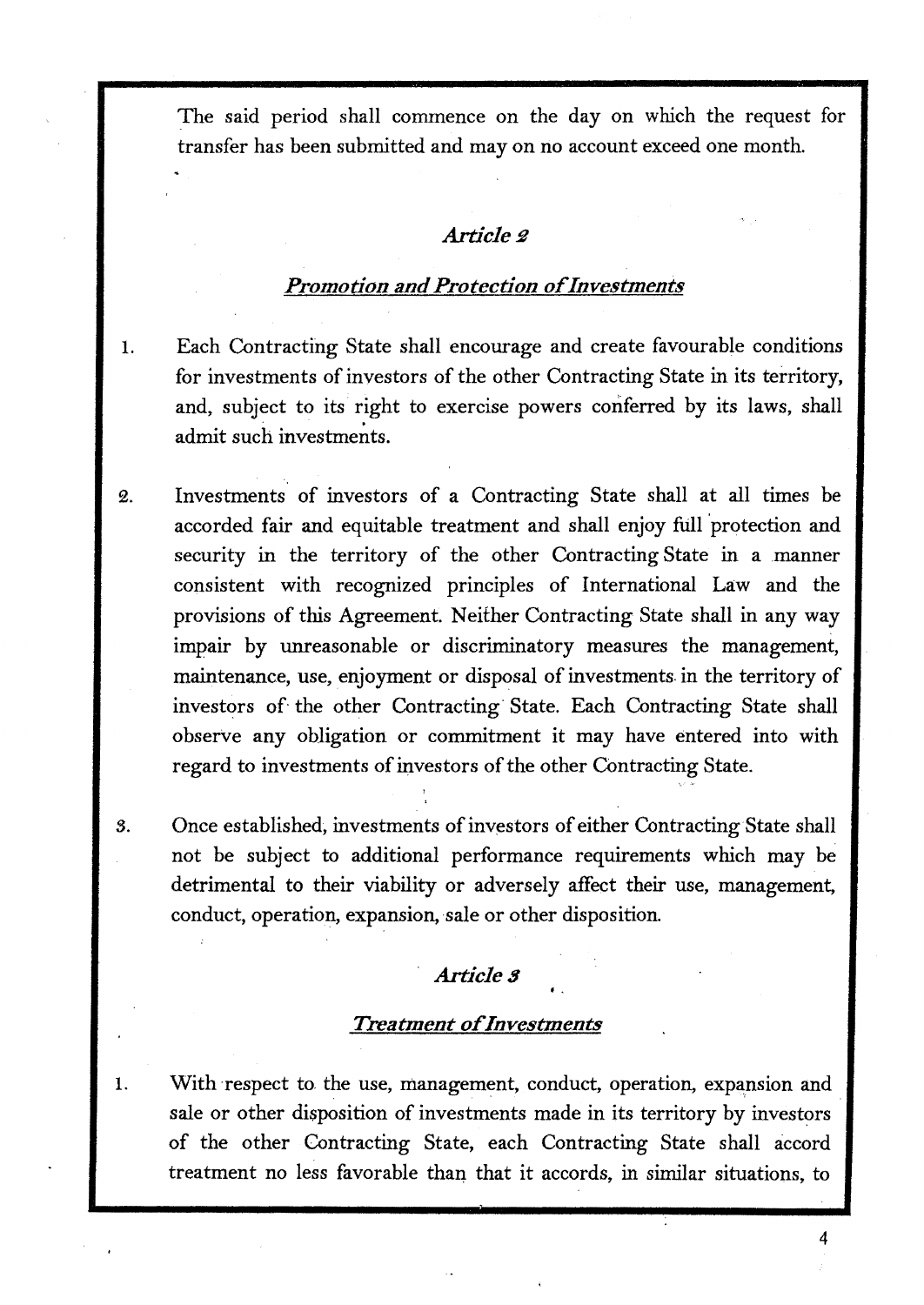The said period shall commence on the day on which the request for transfer has been submitted and may on no account exceed one month.

## **Article** <sub>2</sub>

## *Promotion and Protection of Investments*

- 1. Each Contracting State shall encourage and create favourable conditions for investments of investors of the other Contracting State in its territory, and, subject to its right to exercise powers conferred by its laws, shall admit such investments.
- 2. Investments of investors of a Contracting State shall at all times be accorded fair and equitable treatment and shall enjoy full protection and security in the territory of the other Contracting State in a manner consistent with recognized principles of International Law and the provisions of this Agreement. Neither Contracting State shall in any way impair by unreasonable or discriminatory measures the management, maintenance, use, enjoyment or disposal of investments. in the territory of investors of the other Contracting State. Each Contracting State shall observe any obligation or commitment it may have entered into with regard to investments of investors of the other Contracting State.
- 3. Once established, investments of investors of either Contracting State shall not be subject to additional performance requirements which may be detrimental to their viability or adversely affect their use, management, conduct, operation, expansion, sale or other disposition.

## **Article 3**

#### *Treatment of Investments*

1. With respect to the use, management, conduct, operation, expansion and sale or other disposition of investments made in its territory by investors of the other Contracting State, each Contracting State shall accord treatment no less favorable than that it accords, in similar situations, to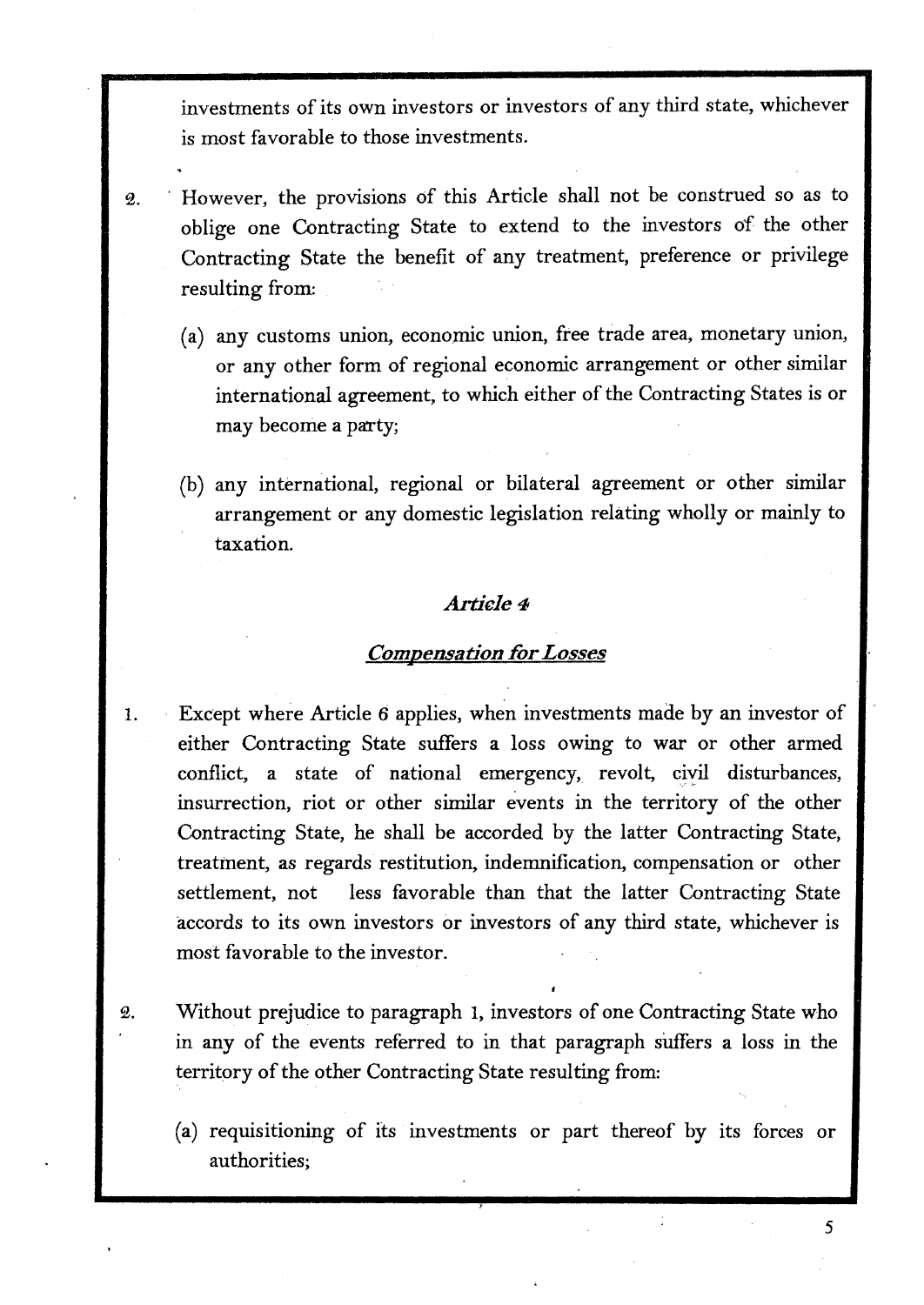investments of its own investors or investors of any third state, whichever is most favorable to those investments.

- 2. · However, the provisions of this Article shall not be construed so as to oblige one Contracting State to extend to the investors of the other Contracting State the benefit of any treatment, preference or privilege resulting from:
	- (a) any customs union, economic union, free trade area, monetary union, or any other form of regional economic arrangement or other similar international agreement, to which either of the Contracting States is or may become a party;
	- (b) any international, regional or bilateral agreement or other similar arrangement or any domestic legislation relating wholly or mainly to taxation.

## *Artiele4*

## *Comoensation for Losses* ...

- 1. Except where Article *6* applies, when investments made by an investor of either Contracting State suffers a loss owing to war or other armed conflict, a state of national emergency, revolt, civil disturbances, insurrection, riot or other similar events in the territory of the other Contracting State, he shall be accorded by the latter Contracting State, treatment, as regards restitution, indemnification, compensation or other settlement, not less favorable than that the latter Contracting State accords to its own investors or investors of any third state, whichever is most favorable to the investor.
- 2. Without prejudice to paragraph 1, investors of one Contracting State who in any of the events referred to in that paragraph suffers a loss in the territory of the other Contracting State resulting from:
	- (a) requisitioning of its investments or part thereof by its forces or authorities;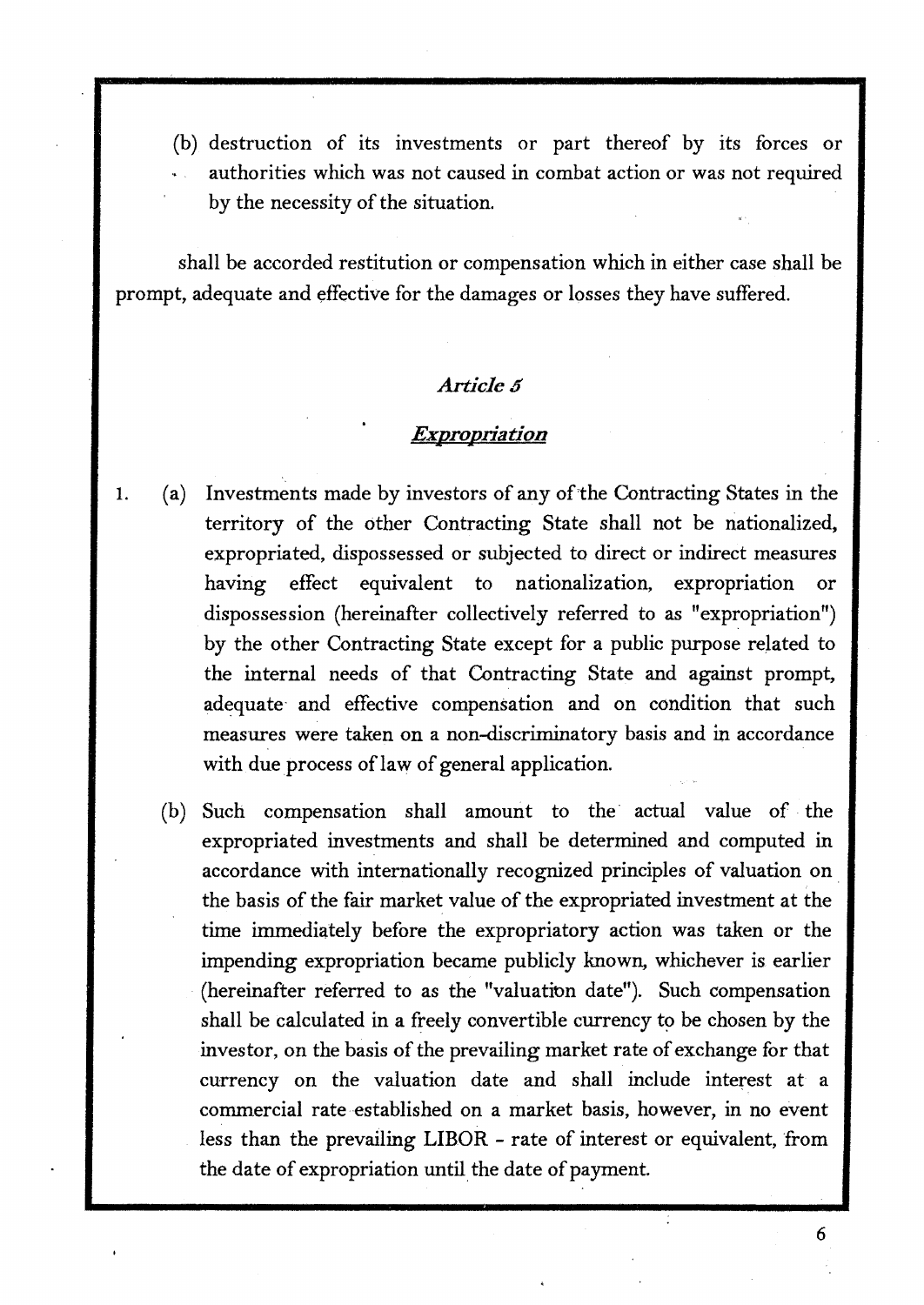(b) destruction of its investments or part thereof by its forces or authorities which was not caused in combat action or was not required by the necessity of the situation.

shall be accorded restitution or compensation which in either case shall be prompt, adequate and effective for the damages or losses they have suffered.

#### Article 5

#### *Expropriation*

- 1. ( a) Investments made by investors of any of the Contracting States in the territory of the other Contracting State shall not be nationalized, expropriated, dispossessed or subjected to direct or indirect measures having effect equivalent to nationalization, expropriation or dispossession (hereinafter collectively referred to as "expropriation") by the other Contracting State except for a public purpose related to the internal needs of that Contracting State and against prompt, adequate and effective compensation and on condition that such measures were taken on a non-discriminatory basis and in accordance with due process of law of general application.
	- (b) Such compensation shall amount to the actual value of the expropriated investments and shall be determined and computed in accordance with internationally recognized principles of valuation on the basis of the fair market value of the expropriated investment at the time immediately before the expropriatory action was taken or the impending expropriation became publicly known, whichever is earlier (hereinafter referred to as the "valuation date"). Such compensation shall be calculated in a freely convertible currency to be chosen by the investor, on the basis of the prevailing market rate of exchange for that currency on the valuation date and shall include interest at a commercial rate established on a market basis, however, in no event less than the prevailing LIBOR - rate of interest or equivalent, from the date of expropriation until the date of payment.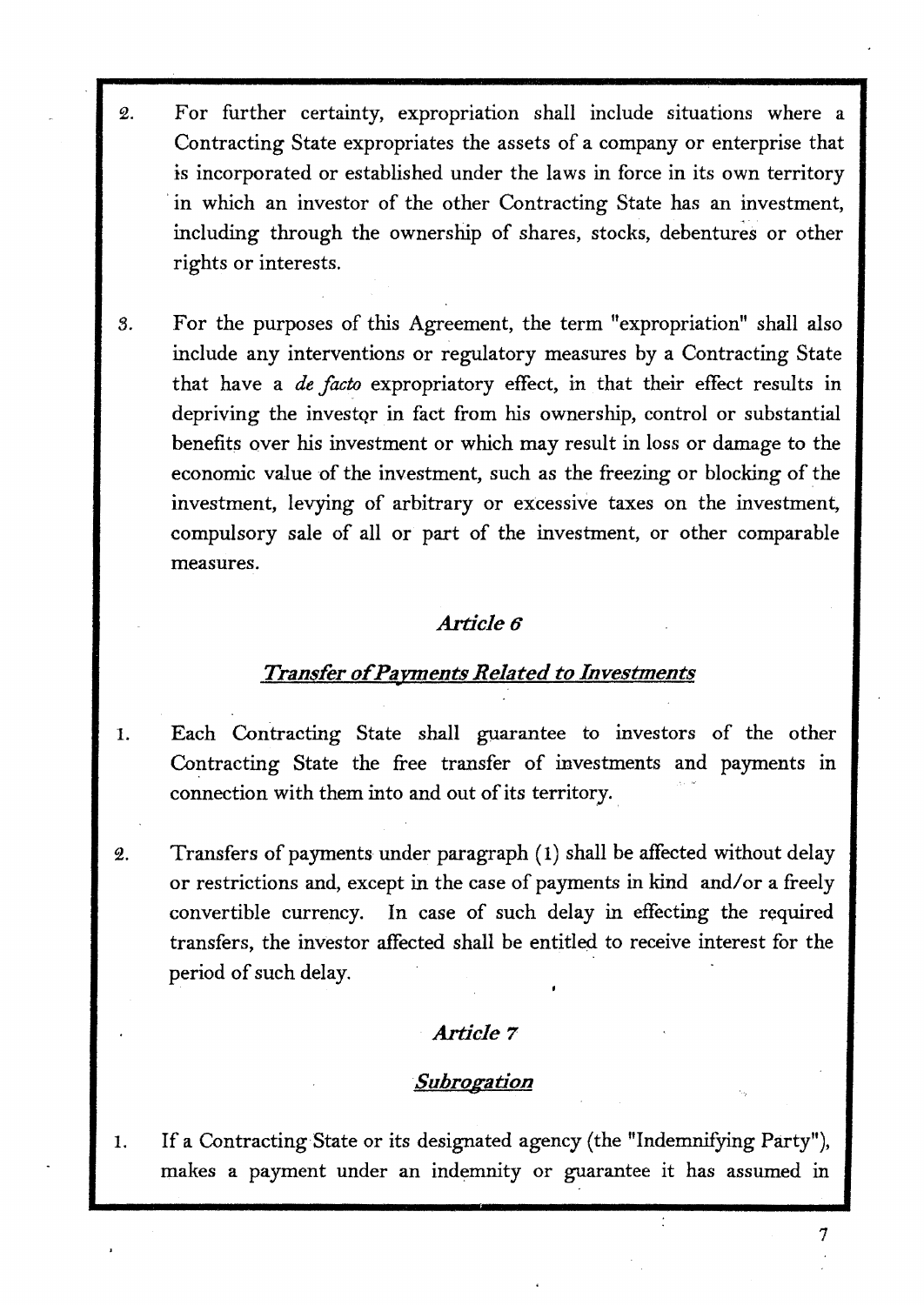- 2. For further certainty, expropriation shall include situations where a Contracting State expropriates the assets of a company or enterprise that is incorporated or established under the laws in force in its own territory in which an investor of the other Contracting State has an investment, including through the ownership of shares, stocks, debentures or other rights or interests.
- *S.* For the purposes of this Agreement, the term "expropriation" shall also include any interventions or regulatory measures by a Contracting State that have a *de facro* expropriatory effect, in that their effect results in depriving the investqr in fact from his ownership, control or substantial benefits over his investment or which may result in loss or damage to the economic value of the investment, such as the freezing or blocking of the investment, levying of arbitrary or excessive taxes on the investment, compulsory sale of all or part of the investment, or other comparable measures.

## *Article6*

# *Transfer of Pavments Related to Investments*  •

- 1. Each Contracting State shall guarantee to investors of the other Contracting State the free transfer of investments and payments in connection with them into and out of its territory.
- 2. Transfers of payments under paragraph ( 1) shall be affected without delay or restrictions and, except in the case of payments in kind and/ or a freely convertible currency. In case of such delay in effecting the required transfers, the investor affected shall be entitled to receive interest for the period of such delay.

## *Article* **7**

## *·Subrogation*

1. If a Contracting-State or its designated agency (the "Indemnifying Party"), makes a payment under an indemnity or guarantee it has assumed in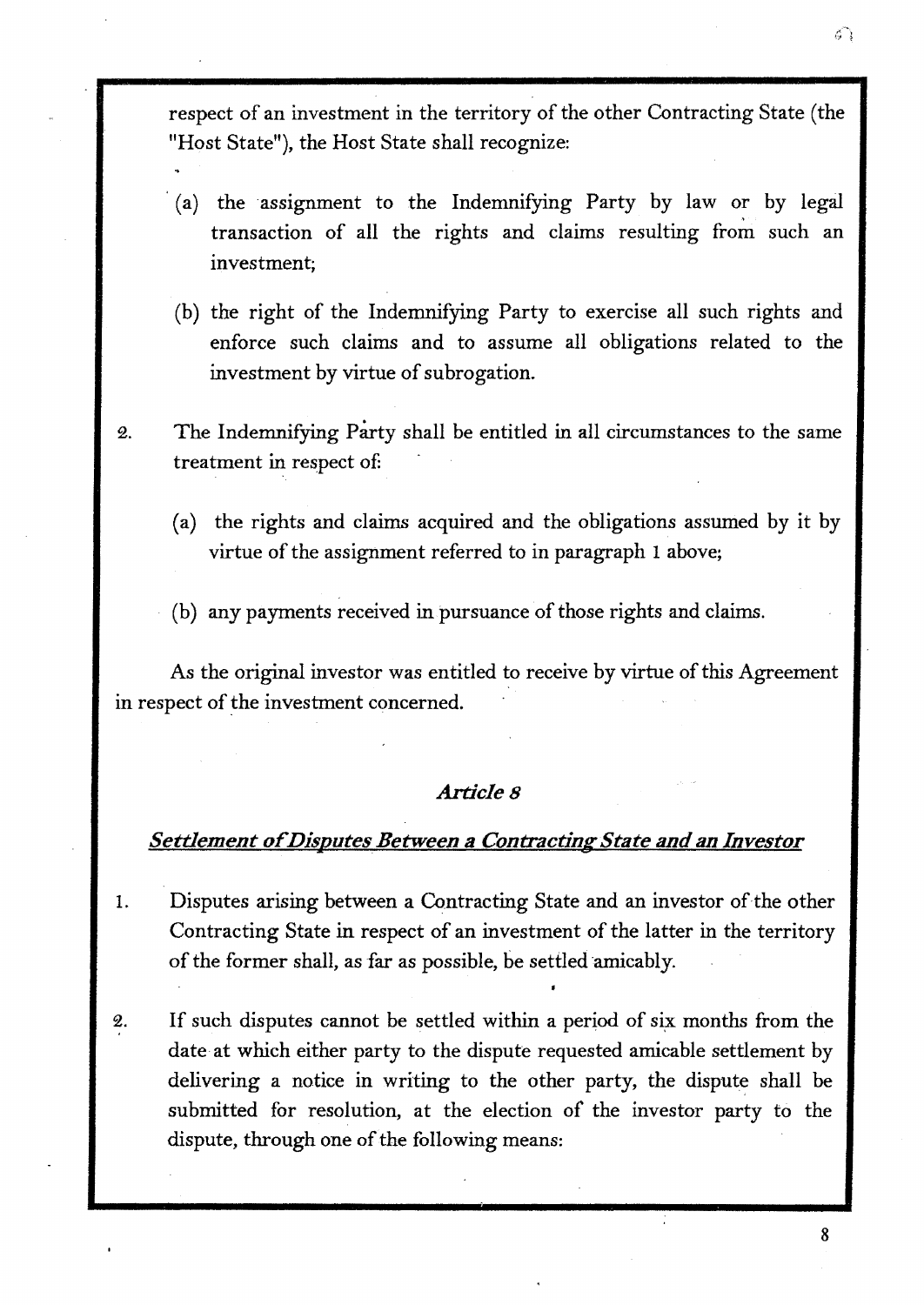respect of an investment in the territory of the other Contracting State (the "Host State"), the Host State shall recognize:

- (a) the assignment to the Indemnifying Party by law or by legal transaction of all the rights and claims resulting from such an investment;
- (b) the right of the Indemnifying Party to exercise all such rights and enforce such claims and to assume all obligations related to the investment by virtue of subrogation.
- 2. The Indemnifying Party shall be entitled in all circumstances to the same treatment in respect of:
	- ( a) the rights and claims acquired and the obligations assumed by it by virtue of the assignment referred to in paragraph 1 above;
	- (b) any payments received in pursuance of those rights and claims.

As the original investor was entitled to receive by virtue of this Agreement in respect of the investment concerned.

## *Articles*

## **Settlement of Disputes Between a Contracting State and an Investor**

- 1. Disputes arising between a Contracting State and an investor of the other Contracting State in respect of an investment of the latter in the territory of the former shall, as far as possible, be settled amicably.
- 2. If such disputes cannot be settled within a period of six months from the date at which either party to the dispute requested amicable settlement by delivering a notice in writing to the other party, the dispute shall be submitted for resolution, at the election of the investor party to the dispute, through one of the following means: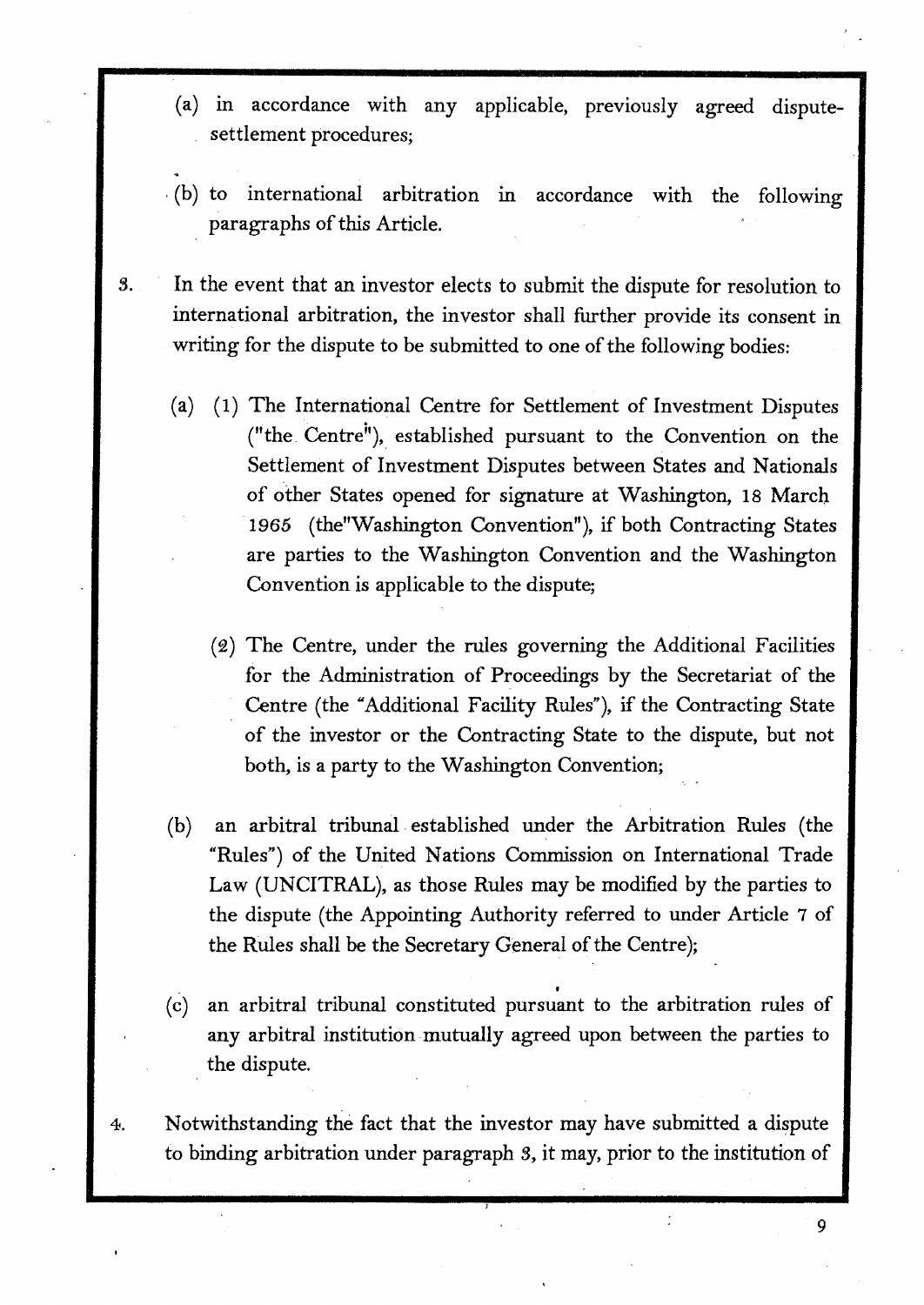- (a) m accordance with any applicable, previously agreed disputesettlement procedures;
- (b) to international arbitration m accordance with the following paragraphs of this Article.
- S. In the event that an investor elects to submit the dispute for resolution to international arbitration, the investor shall further provide its consent in writing for the dispute to be submitted to one of the following bodies:
	- ( a) ( 1) The International Centre for Settlement of Investment Disputes ("the Centre"), established pursuant to the Convention on the Settlement of Investment Disputes between States and Nationals of other States opened for signature at Washington, 18 March 1965 (the "Washington Convention"), if both Contracting States are parties to the Washington Convention and the Washington Convention is applicable to the dispute;
		- (2) The Centre, under the rules governing the Additional Facilities for the Administration of Proceedings by the Secretariat of the Centre (the "Additional Facility Rules"), if the Contracting State of the investor or the Contracting State to the dispute, but not both, is a party to the Washington Convention;
	- (b) an arbitral tribunal established under the Arbitration Rules (the "Rules") of the United Nations Commission on International Trade Law (UNCITRAL), as those Rules may be modified by the parties to the dispute (the Appointing Authority referred to under Article 7 of the Rules shall be the Secretary General of the Centre);
	- ( c) an arbitral tribunal constituted pursuant to the arbitration rules of any arbitral institution mutually agreed upon between the parties to the dispute.
- 4. Notwithstanding the fact that the investor may have submitted a dispute to binding arbitration under paragraph *3,* it may, prior to the institution of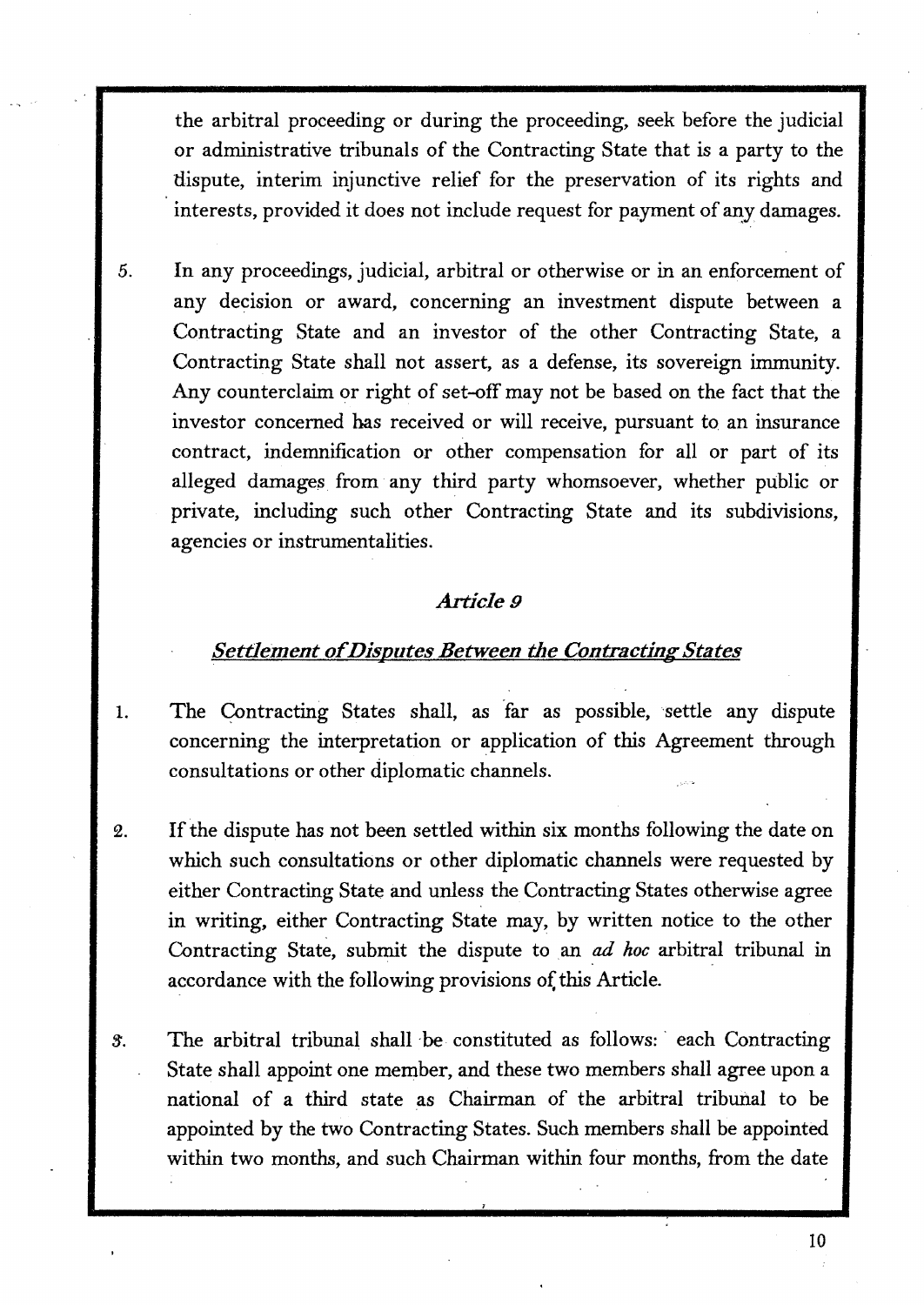the arbitral proceeding or during the proceeding, seek before the judicial or administrative tribunals of the Contracting State that is a party to the dispute, interim injunctive relief for the preservation of its rights and interests, provided it does not include request for payment of any damages.

5. In any proceedings, judicial, arbitral or otherwise or in an enforcement of any decision or award, concerning an investment dispute between a Contracting State and an investor of the other Contracting State, a Contracting State shall not assert, as a defense, its sovereign immunity. Any counterclaim or right of set-off may not be based on the fact that the investor concerned has received or will receive, pursuant to an insurance contract, indemnification or other compensation for all or part of its alleged damages. from any third party whomsoever, whether public or private, including such other Contracting State and its subdivisions, agencies or instrumentalities.

## *Article9*

## *Settlement of Disputes Between the Contracting States*

- 1. The Contracting States shall, as far as possible, settle any dispute concerning the interpretation or application of this Agreement through consultations or other diplomatic channels.
- 2. If the dispute has not been settled within six months following the date on which such consultations or other diplomatic channels were requested by either Contracting State and unless the Contracting States otherwise agree in writing, either Contracting State may, by written notice to the other Contracting State, submit the dispute to an *ad hoc* arbitral tribunal in accordance with the following provisions of this Article.
- 3. The arbitral tribunal shall be constituted as follows: each Contracting State shall appoint one member, and these two members shall agree upon a national of a third state as Chairman of the arbitral tribunal to be appointed by the two Contracting States. Such members shall be appointed within two months, and such Chairman within four months, from the date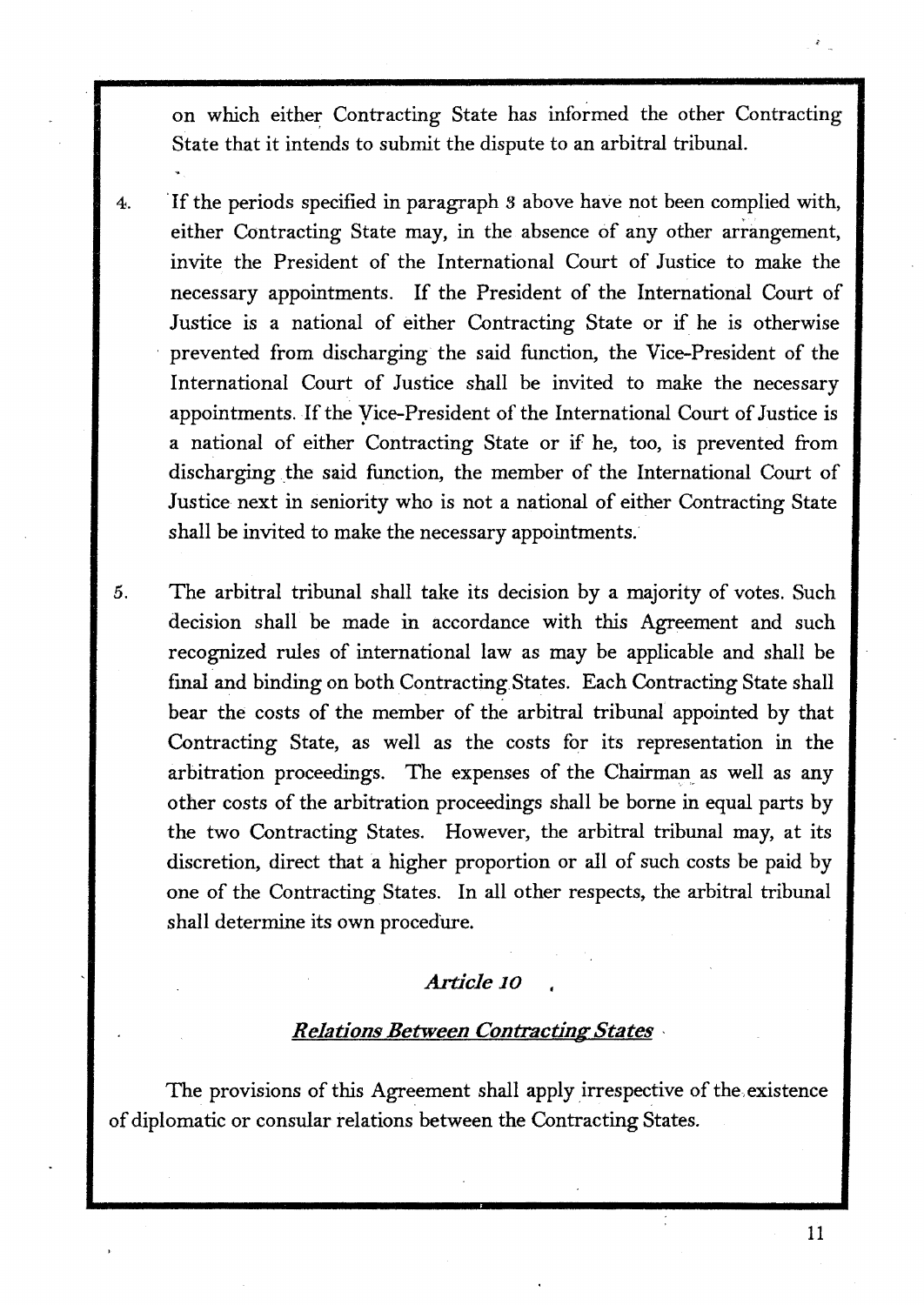on which either Contracting State has informed the other Contracting State that it intends to submit the dispute to an arbitral tribunal.

- 4. · If the periods specified in paragraph 3 above have not been complied with, either Contracting State may, in the absence of any other arrangement, invite the President of the International Court of Justice to make the necessary appointments. If the President of the International Court of Justice is a national of either Contracting State or if he is otherwise prevented from discharging the said function, the Vice-President of the International Court of Justice shall be invited to make the necessary appointments. If the Yice-President of the International Court of Justice is a national of either Contracting State or if he, too, is prevented from discharging the said function, the member of the International Court of Justice next in seniority who is not a national of either Contracting State shall be invited to make the necessary appointments.
- *5.* The arbitral tribunal shall take its decision by a majority of votes. Such decision shall be made in accordance with this Agreement and such recognized rules of international law as may be applicable and shall be final and binding on both Contracting.States. Each Contracting State shall bear the costs of the member of the arbitral tribunal appointed by that Contracting State, as well as the costs for its representation in the arbitration proceedings. The expenses of the Chairman as well as any other costs of the arbitration proceedings shall be borne in equal parts by the two Contracting States. However, the arbitral tribunal may, at its discretion, direct that a higher proportion or all of such costs be paid by one of the Contracting States. In all other respects, the arbitral tribunal shall determine its own procedure.

## *Article* **10**

## *Relations Between Contracting States* •

The provisions of this Agreement shall apply irrespective of the.existence of diplomatic or consular relations between the Contracting States.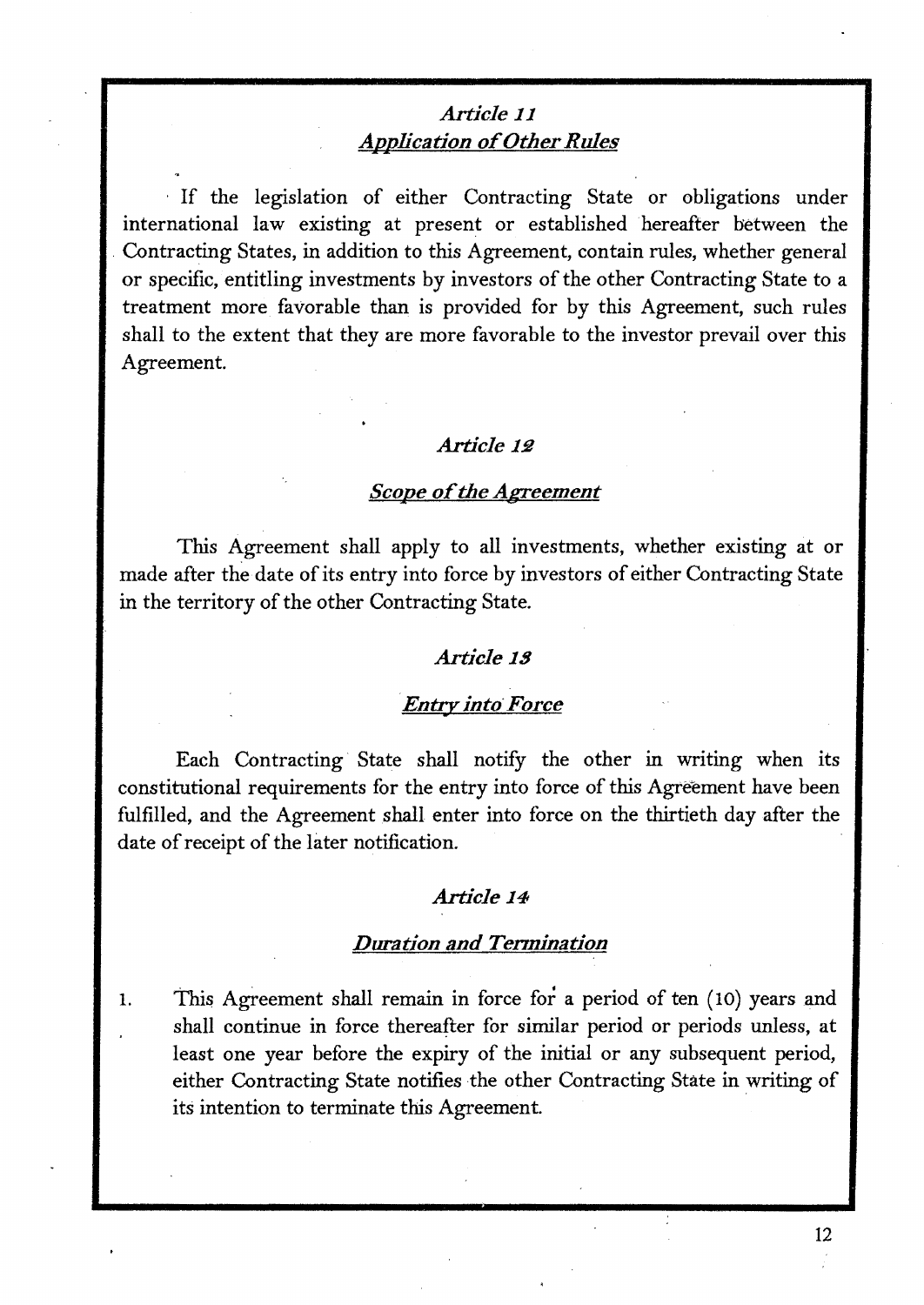# *Article 11 Application of Other Rules*

· If the legislation of either Contracting State or obligations under international law existing at present or established hereafter between the . Contracting States, in addition to this Agreement, contain rules, whether general or specific, entitling investments by investors of the other Contracting State to a treatment more favorable than is provided for by this Agreement, such rules shall to the extent that they are more favorable to the investor prevail over this Agreement.

## Article 12

#### *Scope of the Agreement*

This Agreement shall apply to all investments, whether existing at or made after the date of its entry into force by investors of either Contracting State in the territory of the other Contracting State.

#### *Article* **l!J**

# *·Entry into· Force*

Each Contracting· State shall notify the other in writing when its constitutional requirements for the entry into force of this Agreement have been fulfilled, and the Agreement shall enter into force on the thirtieth day after the date of receipt of the later notification.

#### *Article* **14**

#### *Duration and Tennination*

1. This Agreement shall remain in force for a period of ten (10) years and shall continue in force thereafter for similar period or periods unless, at least one year before the expiry of the initial or any subsequent period, either Contracting State notifies the other Contracting State in writing of its intention to terminate this Agreement.